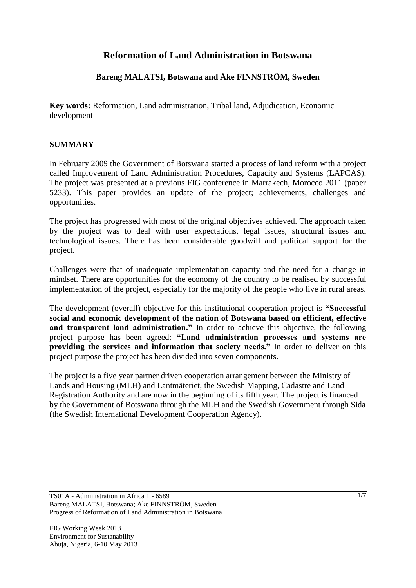# **Reformation of Land Administration in Botswana**

### **Bareng MALATSI, Botswana and Åke FINNSTRÖM, Sweden**

**Key words:** Reformation, Land administration, Tribal land, Adjudication, Economic development

#### **SUMMARY**

In February 2009 the Government of Botswana started a process of land reform with a project called Improvement of Land Administration Procedures, Capacity and Systems (LAPCAS). The project was presented at a previous FIG conference in Marrakech, Morocco 2011 (paper 5233). This paper provides an update of the project; achievements, challenges and opportunities.

The project has progressed with most of the original objectives achieved. The approach taken by the project was to deal with user expectations, legal issues, structural issues and technological issues. There has been considerable goodwill and political support for the project.

Challenges were that of inadequate implementation capacity and the need for a change in mindset. There are opportunities for the economy of the country to be realised by successful implementation of the project, especially for the majority of the people who live in rural areas.

The development (overall) objective for this institutional cooperation project is **"Successful social and economic development of the nation of Botswana based on efficient, effective and transparent land administration."** In order to achieve this objective, the following project purpose has been agreed: **"Land administration processes and systems are providing the services and information that society needs."** In order to deliver on this project purpose the project has been divided into seven components.

The project is a five year partner driven cooperation arrangement between the Ministry of Lands and Housing (MLH) and Lantmäteriet, the Swedish Mapping, Cadastre and Land Registration Authority and are now in the beginning of its fifth year. The project is financed by the Government of Botswana through the MLH and the Swedish Government through Sida (the Swedish International Development Cooperation Agency).

TS01A - Administration in Africa 1 - 6589 Bareng MALATSI, Botswana; Åke FINNSTRÖM, Sweden Progress of Reformation of Land Administration in Botswana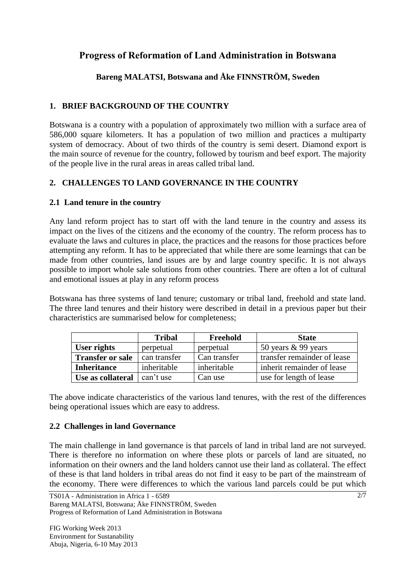# **Progress of Reformation of Land Administration in Botswana**

# **Bareng MALATSI, Botswana and Åke FINNSTRÖM, Sweden**

# **1. BRIEF BACKGROUND OF THE COUNTRY**

Botswana is a country with a population of approximately two million with a surface area of 586,000 square kilometers. It has a population of two million and practices a multiparty system of democracy. About of two thirds of the country is semi desert. Diamond export is the main source of revenue for the country, followed by tourism and beef export. The majority of the people live in the rural areas in areas called tribal land.

# **2. CHALLENGES TO LAND GOVERNANCE IN THE COUNTRY**

### **2.1 Land tenure in the country**

Any land reform project has to start off with the land tenure in the country and assess its impact on the lives of the citizens and the economy of the country. The reform process has to evaluate the laws and cultures in place, the practices and the reasons for those practices before attempting any reform. It has to be appreciated that while there are some learnings that can be made from other countries, land issues are by and large country specific. It is not always possible to import whole sale solutions from other countries. There are often a lot of cultural and emotional issues at play in any reform process

Botswana has three systems of land tenure; customary or tribal land, freehold and state land. The three land tenures and their history were described in detail in a previous paper but their characteristics are summarised below for completeness;

|                         | <b>Tribal</b> | Freehold     | <b>State</b>                |
|-------------------------|---------------|--------------|-----------------------------|
| User rights             | perpetual     | perpetual    | 50 years $\&$ 99 years      |
| <b>Transfer or sale</b> | can transfer  | Can transfer | transfer remainder of lease |
| <b>Inheritance</b>      | inheritable   | inheritable  | inherit remainder of lease  |
| Use as collateral       | can't use     | Can use      | use for length of lease     |

The above indicate characteristics of the various land tenures, with the rest of the differences being operational issues which are easy to address.

#### **2.2 Challenges in land Governance**

The main challenge in land governance is that parcels of land in tribal land are not surveyed. There is therefore no information on where these plots or parcels of land are situated, no information on their owners and the land holders cannot use their land as collateral. The effect of these is that land holders in tribal areas do not find it easy to be part of the mainstream of the economy. There were differences to which the various land parcels could be put which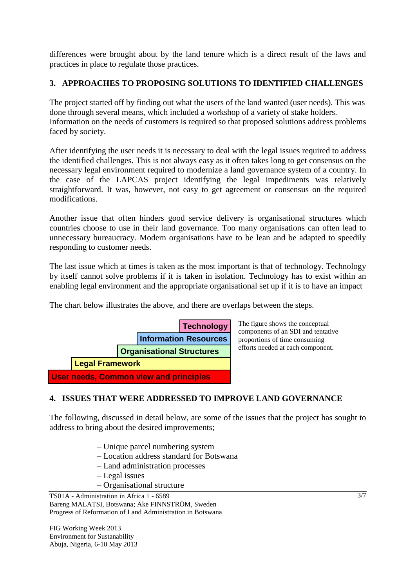differences were brought about by the land tenure which is a direct result of the laws and practices in place to regulate those practices.

### **3. APPROACHES TO PROPOSING SOLUTIONS TO IDENTIFIED CHALLENGES**

The project started off by finding out what the users of the land wanted (user needs). This was done through several means, which included a workshop of a variety of stake holders. Information on the needs of customers is required so that proposed solutions address problems faced by society.

After identifying the user needs it is necessary to deal with the legal issues required to address the identified challenges. This is not always easy as it often takes long to get consensus on the necessary legal environment required to modernize a land governance system of a country. In the case of the LAPCAS project identifying the legal impediments was relatively straightforward. It was, however, not easy to get agreement or consensus on the required modifications.

Another issue that often hinders good service delivery is organisational structures which countries choose to use in their land governance. Too many organisations can often lead to unnecessary bureaucracy. Modern organisations have to be lean and be adapted to speedily responding to customer needs.

The last issue which at times is taken as the most important is that of technology. Technology by itself cannot solve problems if it is taken in isolation. Technology has to exist within an enabling legal environment and the appropriate organisational set up if it is to have an impact

The chart below illustrates the above, and there are overlaps between the steps.



The figure shows the conceptual components of an SDI and tentative proportions of time consuming efforts needed at each component.

# **4. ISSUES THAT WERE ADDRESSED TO IMPROVE LAND GOVERNANCE**

The following, discussed in detail below, are some of the issues that the project has sought to address to bring about the desired improvements;

- Unique parcel numbering system
- Location address standard for Botswana
- Land administration processes
- Legal issues
- Organisational structure

FIG Working Week 2013 Environment for Sustanability Abuja, Nigeria, 6-10 May 2013 3/7

TS01A - Administration in Africa 1 - 6589 Bareng MALATSI, Botswana; Åke FINNSTRÖM, Sweden Progress of Reformation of Land Administration in Botswana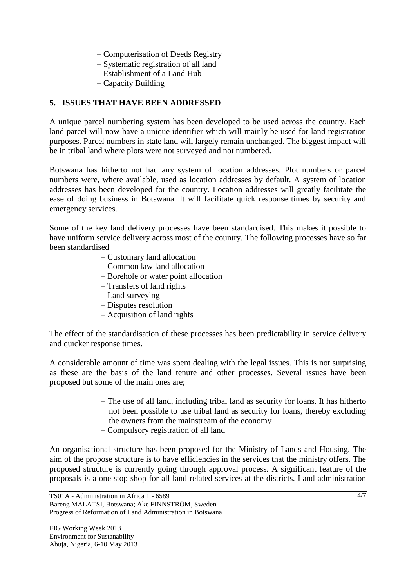- Computerisation of Deeds Registry
- Systematic registration of all land
- Establishment of a Land Hub
- Capacity Building

### **5. ISSUES THAT HAVE BEEN ADDRESSED**

A unique parcel numbering system has been developed to be used across the country. Each land parcel will now have a unique identifier which will mainly be used for land registration purposes. Parcel numbers in state land will largely remain unchanged. The biggest impact will be in tribal land where plots were not surveyed and not numbered.

Botswana has hitherto not had any system of location addresses. Plot numbers or parcel numbers were, where available, used as location addresses by default. A system of location addresses has been developed for the country. Location addresses will greatly facilitate the ease of doing business in Botswana. It will facilitate quick response times by security and emergency services.

Some of the key land delivery processes have been standardised. This makes it possible to have uniform service delivery across most of the country. The following processes have so far been standardised

- Customary land allocation
- Common law land allocation
- Borehole or water point allocation
- Transfers of land rights
- Land surveying
- Disputes resolution
- Acquisition of land rights

The effect of the standardisation of these processes has been predictability in service delivery and quicker response times.

A considerable amount of time was spent dealing with the legal issues. This is not surprising as these are the basis of the land tenure and other processes. Several issues have been proposed but some of the main ones are;

- The use of all land, including tribal land as security for loans. It has hitherto not been possible to use tribal land as security for loans, thereby excluding the owners from the mainstream of the economy
- Compulsory registration of all land

An organisational structure has been proposed for the Ministry of Lands and Housing. The aim of the propose structure is to have efficiencies in the services that the ministry offers. The proposed structure is currently going through approval process. A significant feature of the proposals is a one stop shop for all land related services at the districts. Land administration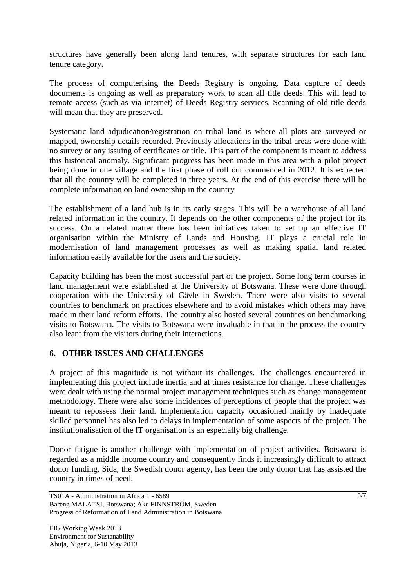structures have generally been along land tenures, with separate structures for each land tenure category.

The process of computerising the Deeds Registry is ongoing. Data capture of deeds documents is ongoing as well as preparatory work to scan all title deeds. This will lead to remote access (such as via internet) of Deeds Registry services. Scanning of old title deeds will mean that they are preserved.

Systematic land adjudication/registration on tribal land is where all plots are surveyed or mapped, ownership details recorded. Previously allocations in the tribal areas were done with no survey or any issuing of certificates or title. This part of the component is meant to address this historical anomaly. Significant progress has been made in this area with a pilot project being done in one village and the first phase of roll out commenced in 2012. It is expected that all the country will be completed in three years. At the end of this exercise there will be complete information on land ownership in the country

The establishment of a land hub is in its early stages. This will be a warehouse of all land related information in the country. It depends on the other components of the project for its success. On a related matter there has been initiatives taken to set up an effective IT organisation within the Ministry of Lands and Housing. IT plays a crucial role in modernisation of land management processes as well as making spatial land related information easily available for the users and the society.

Capacity building has been the most successful part of the project. Some long term courses in land management were established at the University of Botswana. These were done through cooperation with the University of Gävle in Sweden. There were also visits to several countries to benchmark on practices elsewhere and to avoid mistakes which others may have made in their land reform efforts. The country also hosted several countries on benchmarking visits to Botswana. The visits to Botswana were invaluable in that in the process the country also leant from the visitors during their interactions.

### **6. OTHER ISSUES AND CHALLENGES**

A project of this magnitude is not without its challenges. The challenges encountered in implementing this project include inertia and at times resistance for change. These challenges were dealt with using the normal project management techniques such as change management methodology. There were also some incidences of perceptions of people that the project was meant to repossess their land. Implementation capacity occasioned mainly by inadequate skilled personnel has also led to delays in implementation of some aspects of the project. The institutionalisation of the IT organisation is an especially big challenge.

Donor fatigue is another challenge with implementation of project activities. Botswana is regarded as a middle income country and consequently finds it increasingly difficult to attract donor funding. Sida, the Swedish donor agency, has been the only donor that has assisted the country in times of need.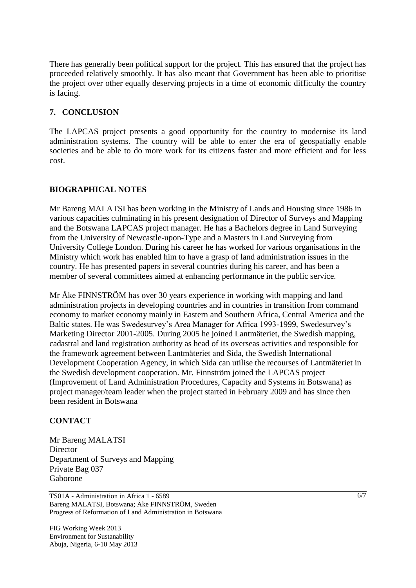There has generally been political support for the project. This has ensured that the project has proceeded relatively smoothly. It has also meant that Government has been able to prioritise the project over other equally deserving projects in a time of economic difficulty the country is facing.

#### **7. CONCLUSION**

The LAPCAS project presents a good opportunity for the country to modernise its land administration systems. The country will be able to enter the era of geospatially enable societies and be able to do more work for its citizens faster and more efficient and for less cost.

### **BIOGRAPHICAL NOTES**

Mr Bareng MALATSI has been working in the Ministry of Lands and Housing since 1986 in various capacities culminating in his present designation of Director of Surveys and Mapping and the Botswana LAPCAS project manager. He has a Bachelors degree in Land Surveying from the University of Newcastle-upon-Type and a Masters in Land Surveying from University College London. During his career he has worked for various organisations in the Ministry which work has enabled him to have a grasp of land administration issues in the country. He has presented papers in several countries during his career, and has been a member of several committees aimed at enhancing performance in the public service.

Mr Åke FINNSTRÖM has over 30 years experience in working with mapping and land administration projects in developing countries and in countries in transition from command economy to market economy mainly in Eastern and Southern Africa, Central America and the Baltic states. He was Swedesurvey's Area Manager for Africa 1993-1999, Swedesurvey's Marketing Director 2001-2005. During 2005 he joined Lantmäteriet, the Swedish mapping, cadastral and land registration authority as head of its overseas activities and responsible for the framework agreement between Lantmäteriet and Sida, the Swedish International Development Cooperation Agency, in which Sida can utilise the recourses of Lantmäteriet in the Swedish development cooperation. Mr. Finnström joined the LAPCAS project (Improvement of Land Administration Procedures, Capacity and Systems in Botswana) as project manager/team leader when the project started in February 2009 and has since then been resident in Botswana

#### **CONTACT**

Mr Bareng MALATSI **Director** Department of Surveys and Mapping Private Bag 037 Gaborone

TS01A - Administration in Africa 1 - 6589 Bareng MALATSI, Botswana; Åke FINNSTRÖM, Sweden Progress of Reformation of Land Administration in Botswana

FIG Working Week 2013 Environment for Sustanability Abuja, Nigeria, 6-10 May 2013